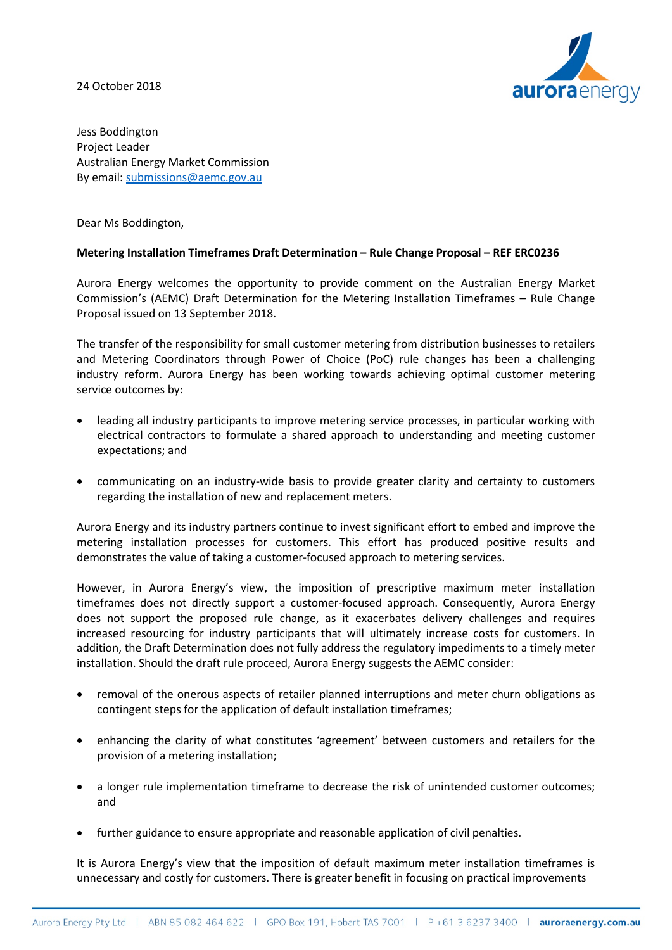24 October 2018



Jess Boddington Project Leader Australian Energy Market Commission By email[: submissions@aemc.gov.au](mailto:submissions@aemc.gov.au)

Dear Ms Boddington,

# **Metering Installation Timeframes Draft Determination – Rule Change Proposal – REF ERC0236**

Aurora Energy welcomes the opportunity to provide comment on the Australian Energy Market Commission's (AEMC) Draft Determination for the Metering Installation Timeframes – Rule Change Proposal issued on 13 September 2018.

The transfer of the responsibility for small customer metering from distribution businesses to retailers and Metering Coordinators through Power of Choice (PoC) rule changes has been a challenging industry reform. Aurora Energy has been working towards achieving optimal customer metering service outcomes by:

- leading all industry participants to improve metering service processes, in particular working with electrical contractors to formulate a shared approach to understanding and meeting customer expectations; and
- communicating on an industry-wide basis to provide greater clarity and certainty to customers regarding the installation of new and replacement meters.

Aurora Energy and its industry partners continue to invest significant effort to embed and improve the metering installation processes for customers. This effort has produced positive results and demonstrates the value of taking a customer-focused approach to metering services.

However, in Aurora Energy's view, the imposition of prescriptive maximum meter installation timeframes does not directly support a customer-focused approach. Consequently, Aurora Energy does not support the proposed rule change, as it exacerbates delivery challenges and requires increased resourcing for industry participants that will ultimately increase costs for customers. In addition, the Draft Determination does not fully address the regulatory impediments to a timely meter installation. Should the draft rule proceed, Aurora Energy suggests the AEMC consider:

- removal of the onerous aspects of retailer planned interruptions and meter churn obligations as contingent steps for the application of default installation timeframes;
- enhancing the clarity of what constitutes 'agreement' between customers and retailers for the provision of a metering installation;
- a longer rule implementation timeframe to decrease the risk of unintended customer outcomes; and
- further guidance to ensure appropriate and reasonable application of civil penalties.

It is Aurora Energy's view that the imposition of default maximum meter installation timeframes is unnecessary and costly for customers. There is greater benefit in focusing on practical improvements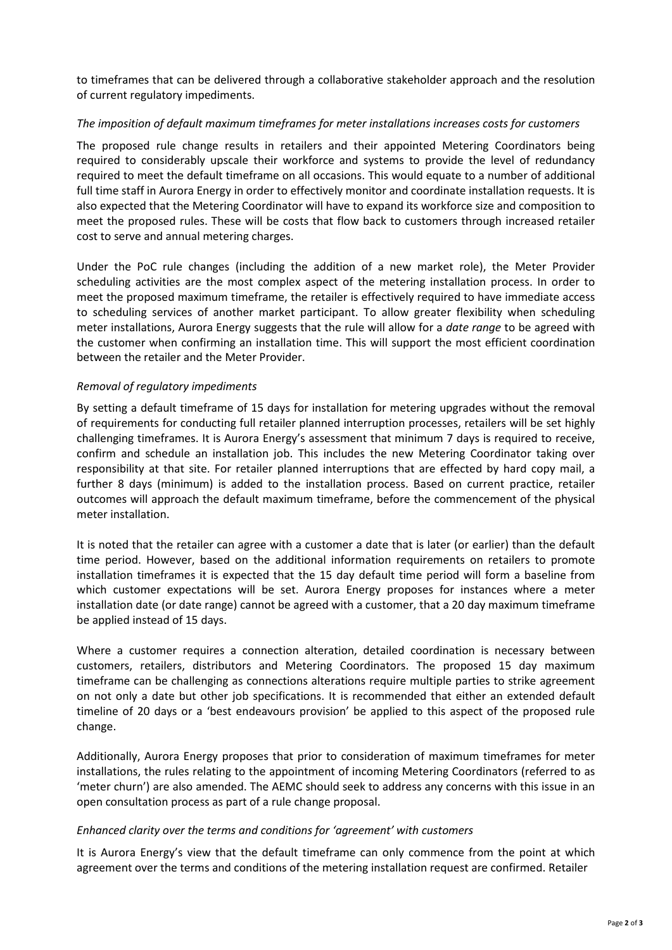to timeframes that can be delivered through a collaborative stakeholder approach and the resolution of current regulatory impediments.

## *The imposition of default maximum timeframes for meter installations increases costs for customers*

The proposed rule change results in retailers and their appointed Metering Coordinators being required to considerably upscale their workforce and systems to provide the level of redundancy required to meet the default timeframe on all occasions. This would equate to a number of additional full time staff in Aurora Energy in order to effectively monitor and coordinate installation requests. It is also expected that the Metering Coordinator will have to expand its workforce size and composition to meet the proposed rules. These will be costs that flow back to customers through increased retailer cost to serve and annual metering charges.

Under the PoC rule changes (including the addition of a new market role), the Meter Provider scheduling activities are the most complex aspect of the metering installation process. In order to meet the proposed maximum timeframe, the retailer is effectively required to have immediate access to scheduling services of another market participant. To allow greater flexibility when scheduling meter installations, Aurora Energy suggests that the rule will allow for a *date range* to be agreed with the customer when confirming an installation time. This will support the most efficient coordination between the retailer and the Meter Provider.

## *Removal of regulatory impediments*

By setting a default timeframe of 15 days for installation for metering upgrades without the removal of requirements for conducting full retailer planned interruption processes, retailers will be set highly challenging timeframes. It is Aurora Energy's assessment that minimum 7 days is required to receive, confirm and schedule an installation job. This includes the new Metering Coordinator taking over responsibility at that site. For retailer planned interruptions that are effected by hard copy mail, a further 8 days (minimum) is added to the installation process. Based on current practice, retailer outcomes will approach the default maximum timeframe, before the commencement of the physical meter installation.

It is noted that the retailer can agree with a customer a date that is later (or earlier) than the default time period. However, based on the additional information requirements on retailers to promote installation timeframes it is expected that the 15 day default time period will form a baseline from which customer expectations will be set. Aurora Energy proposes for instances where a meter installation date (or date range) cannot be agreed with a customer, that a 20 day maximum timeframe be applied instead of 15 days.

Where a customer requires a connection alteration, detailed coordination is necessary between customers, retailers, distributors and Metering Coordinators. The proposed 15 day maximum timeframe can be challenging as connections alterations require multiple parties to strike agreement on not only a date but other job specifications. It is recommended that either an extended default timeline of 20 days or a 'best endeavours provision' be applied to this aspect of the proposed rule change.

Additionally, Aurora Energy proposes that prior to consideration of maximum timeframes for meter installations, the rules relating to the appointment of incoming Metering Coordinators (referred to as 'meter churn') are also amended. The AEMC should seek to address any concerns with this issue in an open consultation process as part of a rule change proposal.

## *Enhanced clarity over the terms and conditions for 'agreement' with customers*

It is Aurora Energy's view that the default timeframe can only commence from the point at which agreement over the terms and conditions of the metering installation request are confirmed. Retailer